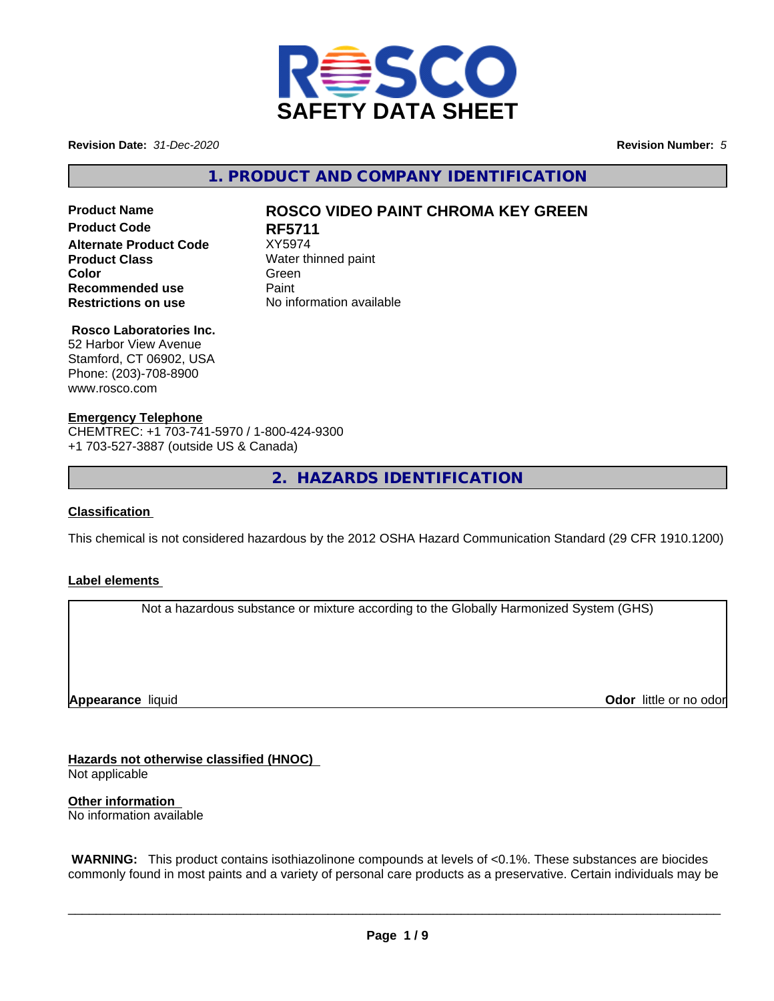

**Revision Date:** *31-Dec-2020* **Revision Number:** *5*

**1. PRODUCT AND COMPANY IDENTIFICATION**

**No information available** 

# **Product Code RF5711 Alternate Product Code** XY5974 **Product Class** Water thinned paint **Color** Green **Green** Green **Green Recommended use** Paint<br> **Restrictions on use** No inf

# **Product Name ROSCO VIDEO PAINT CHROMA KEY GREEN**

**Rosco Laboratories Inc.**

52 Harbor View Avenue Stamford, CT 06902, USA Phone: (203)-708-8900 www.rosco.com

#### **Emergency Telephone**

CHEMTREC: +1 703-741-5970 / 1-800-424-9300 +1 703-527-3887 (outside US & Canada)

**2. HAZARDS IDENTIFICATION**

#### **Classification**

This chemical is not considered hazardous by the 2012 OSHA Hazard Communication Standard (29 CFR 1910.1200)

#### **Label elements**

Not a hazardous substance or mixture according to the Globally Harmonized System (GHS)

**Appearance** liquid

**Odor** little or no odor

**Hazards not otherwise classified (HNOC)** Not applicable

**Other information** No information available

 **WARNING:** This product contains isothiazolinone compounds at levels of <0.1%. These substances are biocides commonly found in most paints and a variety of personal care products as a preservative. Certain individuals may be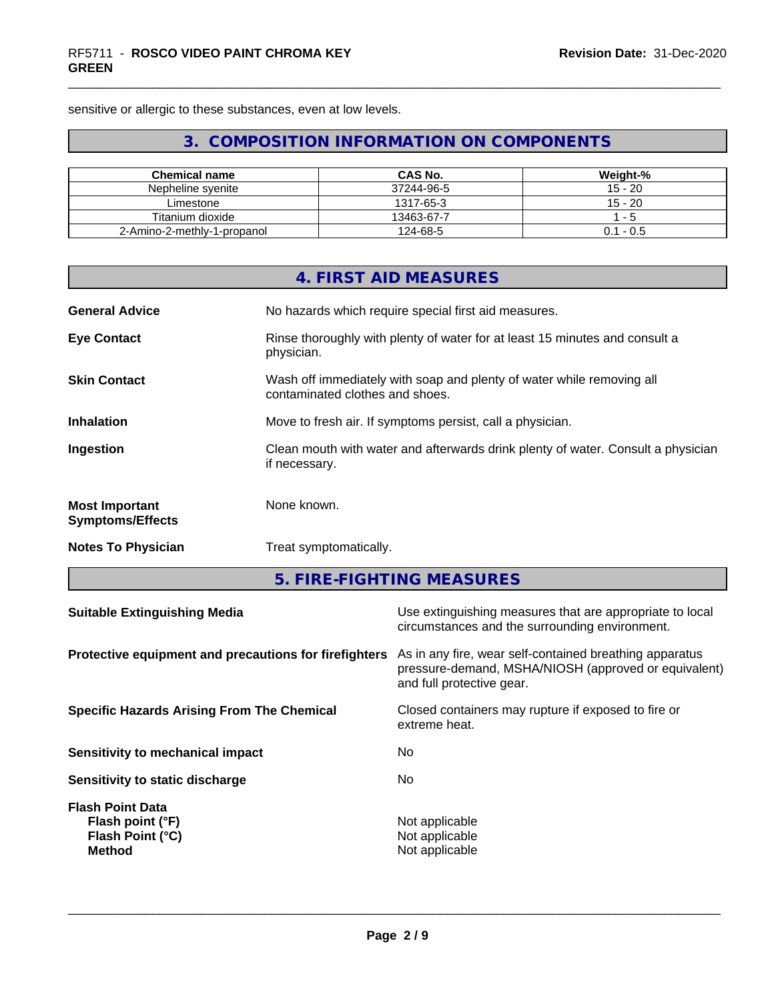sensitive or allergic to these substances, even at low levels.

# **3. COMPOSITION INFORMATION ON COMPONENTS**

| <b>Chemical name</b>        | CAS No.    | Weight-%    |
|-----------------------------|------------|-------------|
| Nepheline svenite           | 37244-96-5 | 15 - 20     |
| Limestone                   | 1317-65-3  | $15 - 20$   |
| Titanium dioxide            | 13463-67-7 | $-5$        |
| 2-Amino-2-methly-1-propanol | 124-68-5   | $0.1 - 0.5$ |

|                                                       |                        | <b>4. FIRST AID MEASURES</b>                                                                                                                 |  |  |
|-------------------------------------------------------|------------------------|----------------------------------------------------------------------------------------------------------------------------------------------|--|--|
| <b>General Advice</b>                                 |                        | No hazards which require special first aid measures.                                                                                         |  |  |
| <b>Eye Contact</b>                                    | physician.             | Rinse thoroughly with plenty of water for at least 15 minutes and consult a                                                                  |  |  |
| <b>Skin Contact</b>                                   |                        | Wash off immediately with soap and plenty of water while removing all<br>contaminated clothes and shoes.                                     |  |  |
| <b>Inhalation</b>                                     |                        | Move to fresh air. If symptoms persist, call a physician.                                                                                    |  |  |
| Ingestion                                             | if necessary.          | Clean mouth with water and afterwards drink plenty of water. Consult a physician                                                             |  |  |
| <b>Most Important</b><br><b>Symptoms/Effects</b>      | None known.            |                                                                                                                                              |  |  |
| <b>Notes To Physician</b>                             | Treat symptomatically. |                                                                                                                                              |  |  |
|                                                       |                        | 5. FIRE-FIGHTING MEASURES                                                                                                                    |  |  |
| <b>Suitable Extinguishing Media</b>                   |                        | Use extinguishing measures that are appropriate to local<br>circumstances and the surrounding environment.                                   |  |  |
| Protective equipment and precautions for firefighters |                        | As in any fire, wear self-contained breathing apparatus<br>pressure-demand, MSHA/NIOSH (approved or equivalent)<br>and full protective gear. |  |  |
| <b>Specific Hazards Arising From The Chemical</b>     |                        | Closed containers may rupture if exposed to fire or<br>extreme heat.                                                                         |  |  |
| Sensitivity to mechanical impact                      |                        | No                                                                                                                                           |  |  |

**Sensitivity to static discharge** No

**Flash Point Data**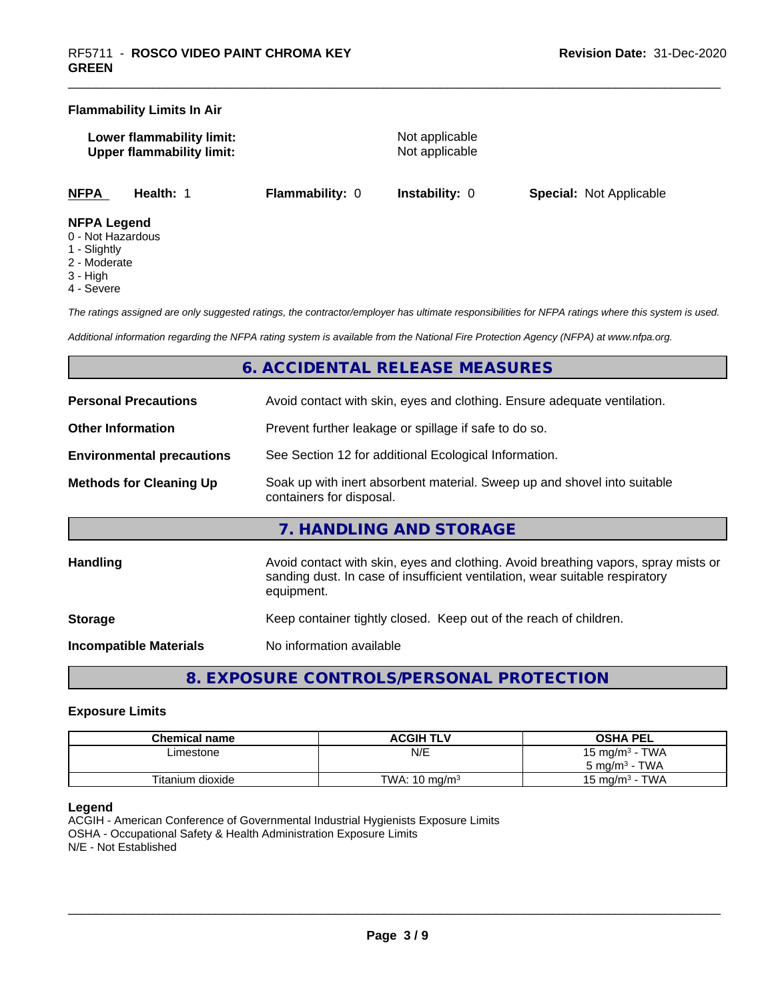#### **Flammability Limits In Air**

| Lower flammability limit:        |  |
|----------------------------------|--|
| <b>Upper flammability limit:</b> |  |

**Not applicable Not applicable** 

**NFPA Health:** 1 **Flammability:** 0 **Instability:** 0 **Special:** Not Applicable

#### **NFPA Legend**

- 0 Not Hazardous
- 1 Slightly
- 2 Moderate
- 3 High
- 4 Severe

*The ratings assigned are only suggested ratings, the contractor/employer has ultimate responsibilities for NFPA ratings where this system is used.*

*Additional information regarding the NFPA rating system is available from the National Fire Protection Agency (NFPA) at www.nfpa.org.*

# **6. ACCIDENTAL RELEASE MEASURES**

| <b>Personal Precautions</b>      | Avoid contact with skin, eyes and clothing. Ensure adequate ventilation.                                                                                                         |  |
|----------------------------------|----------------------------------------------------------------------------------------------------------------------------------------------------------------------------------|--|
| <b>Other Information</b>         | Prevent further leakage or spillage if safe to do so.                                                                                                                            |  |
| <b>Environmental precautions</b> | See Section 12 for additional Ecological Information.                                                                                                                            |  |
| <b>Methods for Cleaning Up</b>   | Soak up with inert absorbent material. Sweep up and shovel into suitable<br>containers for disposal.                                                                             |  |
|                                  | 7. HANDLING AND STORAGE                                                                                                                                                          |  |
| <b>Handling</b>                  | Avoid contact with skin, eyes and clothing. Avoid breathing vapors, spray mists or<br>sanding dust. In case of insufficient ventilation, wear suitable respiratory<br>equipment. |  |
| <b>Storage</b>                   | Keep container tightly closed. Keep out of the reach of children.                                                                                                                |  |
| <b>Incompatible Materials</b>    | No information available                                                                                                                                                         |  |

**8. EXPOSURE CONTROLS/PERSONAL PROTECTION**

#### **Exposure Limits**

| Chemical name    | <b>ACGIH TLV</b>         | <b>OSHA PEL</b>            |
|------------------|--------------------------|----------------------------|
| ∟imestone        | N/E                      | 15 mg/m <sup>3</sup> - TWA |
|                  |                          | $5 \text{ ma/m}^3$ - TWA   |
| Titanium dioxide | TWA: $10 \text{ ma/m}^3$ | · TWA<br>15 ma/m $3$       |

#### **Legend**

ACGIH - American Conference of Governmental Industrial Hygienists Exposure Limits OSHA - Occupational Safety & Health Administration Exposure Limits N/E - Not Established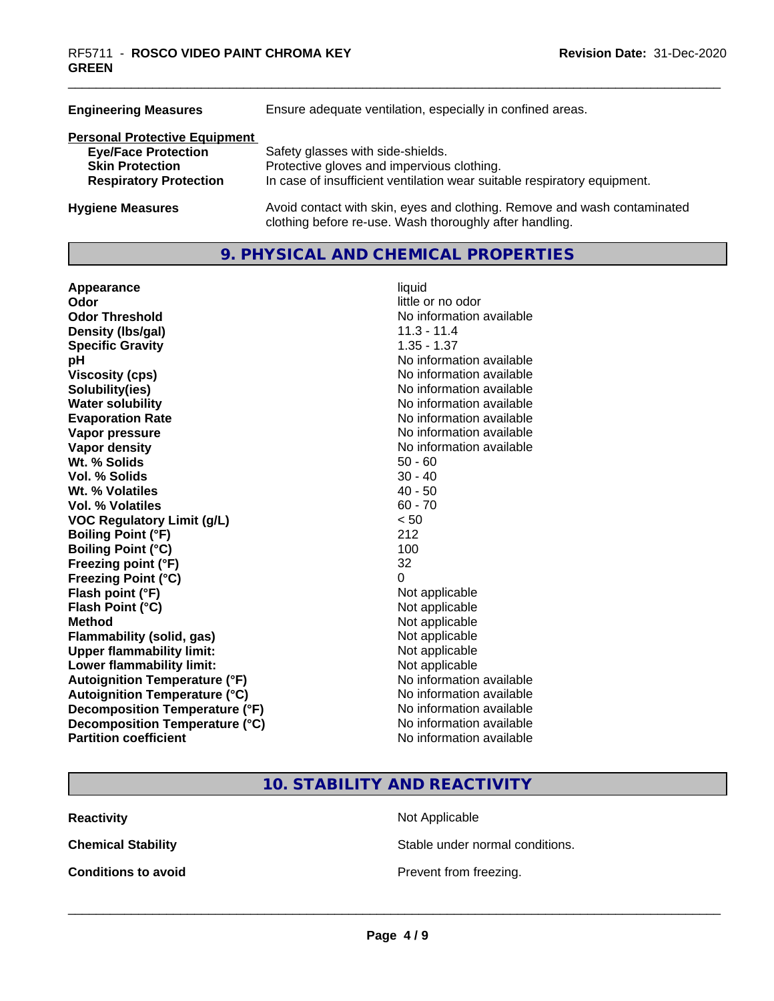| <b>Engineering Measures</b>                                                                                                   | Ensure adequate ventilation, especially in confined areas.                                                                                                  |  |
|-------------------------------------------------------------------------------------------------------------------------------|-------------------------------------------------------------------------------------------------------------------------------------------------------------|--|
| <b>Personal Protective Equipment</b><br><b>Eye/Face Protection</b><br><b>Skin Protection</b><br><b>Respiratory Protection</b> | Safety glasses with side-shields.<br>Protective gloves and impervious clothing.<br>In case of insufficient ventilation wear suitable respiratory equipment. |  |
| <b>Hygiene Measures</b>                                                                                                       | Avoid contact with skin, eyes and clothing. Remove and wash contaminated<br>clothing before re-use. Wash thoroughly after handling.                         |  |

## **9. PHYSICAL AND CHEMICAL PROPERTIES**

| Appearance                           | liquid                   |
|--------------------------------------|--------------------------|
| Odor                                 | little or no odor        |
| <b>Odor Threshold</b>                | No information available |
| Density (Ibs/gal)                    | $11.3 - 11.4$            |
| <b>Specific Gravity</b>              | $1.35 - 1.37$            |
| рH                                   | No information available |
| <b>Viscosity (cps)</b>               | No information available |
| Solubility(ies)                      | No information available |
| <b>Water solubility</b>              | No information available |
| <b>Evaporation Rate</b>              | No information available |
| Vapor pressure                       | No information available |
| Vapor density                        | No information available |
| Wt. % Solids                         | $50 - 60$                |
| Vol. % Solids                        | $30 - 40$                |
| Wt. % Volatiles                      | $40 - 50$                |
| Vol. % Volatiles                     | $60 - 70$                |
| <b>VOC Regulatory Limit (g/L)</b>    | < 50                     |
| <b>Boiling Point (°F)</b>            | 212                      |
| <b>Boiling Point (°C)</b>            | 100                      |
| Freezing point (°F)                  | 32                       |
| <b>Freezing Point (°C)</b>           | 0                        |
| Flash point (°F)                     | Not applicable           |
| Flash Point (°C)                     | Not applicable           |
| <b>Method</b>                        | Not applicable           |
| Flammability (solid, gas)            | Not applicable           |
| <b>Upper flammability limit:</b>     | Not applicable           |
| Lower flammability limit:            | Not applicable           |
| <b>Autoignition Temperature (°F)</b> | No information available |
| <b>Autoignition Temperature (°C)</b> | No information available |
| Decomposition Temperature (°F)       | No information available |
| Decomposition Temperature (°C)       | No information available |
| <b>Partition coefficient</b>         | No information available |

# little or no odor **No information available No information available Viscosity (cps)** No information available **No information available No information available Evaporation Rate** No information available **No information available No information available**<br>50 - 60 **Not applicable Not applicable Not applicable Flammability (solid, gas)** Not applicable **Not applicable Not applicable No information available Autoignition Temperature (°C)** No information available **No information available No information available**

# **10. STABILITY AND REACTIVITY**

**Reactivity** Not Applicable

**Chemical Stability Stable under normal conditions.** 

**Conditions to avoid Conditions to avoid Prevent from freezing.**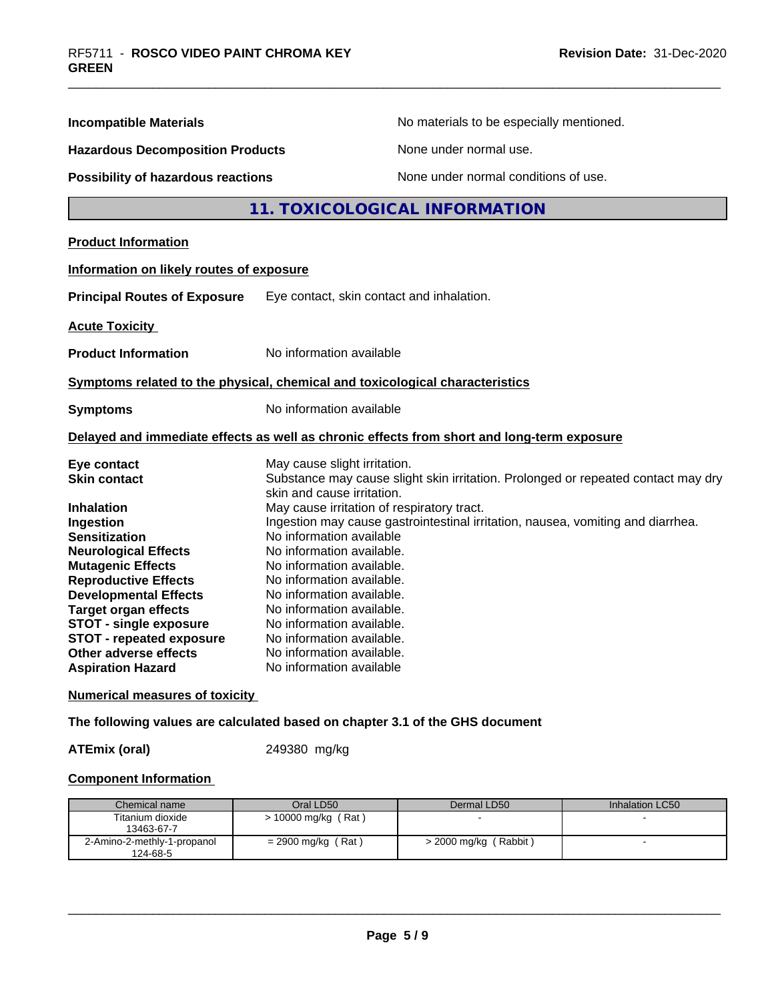| No materials to be especially mentioned.                                                                                                                                                                                                                                                                                                                                                          |
|---------------------------------------------------------------------------------------------------------------------------------------------------------------------------------------------------------------------------------------------------------------------------------------------------------------------------------------------------------------------------------------------------|
| None under normal use.<br><b>Hazardous Decomposition Products</b>                                                                                                                                                                                                                                                                                                                                 |
| None under normal conditions of use.<br>Possibility of hazardous reactions                                                                                                                                                                                                                                                                                                                        |
| 11. TOXICOLOGICAL INFORMATION                                                                                                                                                                                                                                                                                                                                                                     |
|                                                                                                                                                                                                                                                                                                                                                                                                   |
| Information on likely routes of exposure                                                                                                                                                                                                                                                                                                                                                          |
| Eye contact, skin contact and inhalation.                                                                                                                                                                                                                                                                                                                                                         |
|                                                                                                                                                                                                                                                                                                                                                                                                   |
| No information available                                                                                                                                                                                                                                                                                                                                                                          |
| Symptoms related to the physical, chemical and toxicological characteristics                                                                                                                                                                                                                                                                                                                      |
| No information available                                                                                                                                                                                                                                                                                                                                                                          |
| Delayed and immediate effects as well as chronic effects from short and long-term exposure                                                                                                                                                                                                                                                                                                        |
| May cause slight irritation.<br>Substance may cause slight skin irritation. Prolonged or repeated contact may dry<br>skin and cause irritation.                                                                                                                                                                                                                                                   |
| May cause irritation of respiratory tract.<br>Ingestion may cause gastrointestinal irritation, nausea, vomiting and diarrhea.<br>No information available<br>No information available.<br>No information available.<br>No information available.<br>No information available.<br>No information available.<br>No information available.<br>No information available.<br>No information available. |
|                                                                                                                                                                                                                                                                                                                                                                                                   |

## **Numerical measures of toxicity**

**The following values are calculated based on chapter 3.1 of the GHS document**

**ATEmix (oral)** 249380 mg/kg

#### **Component Information**

| Chemical name                           | Oral LD50            | Dermal LD50             | Inhalation LC50 |
|-----------------------------------------|----------------------|-------------------------|-----------------|
| Titanium dioxide<br>13463-67-7          | > 10000 mg/kg (Rat)  |                         |                 |
| 2-Amino-2-methly-1-propanol<br>124-68-5 | $= 2900$ mg/kg (Rat) | $>$ 2000 mg/kg (Rabbit) |                 |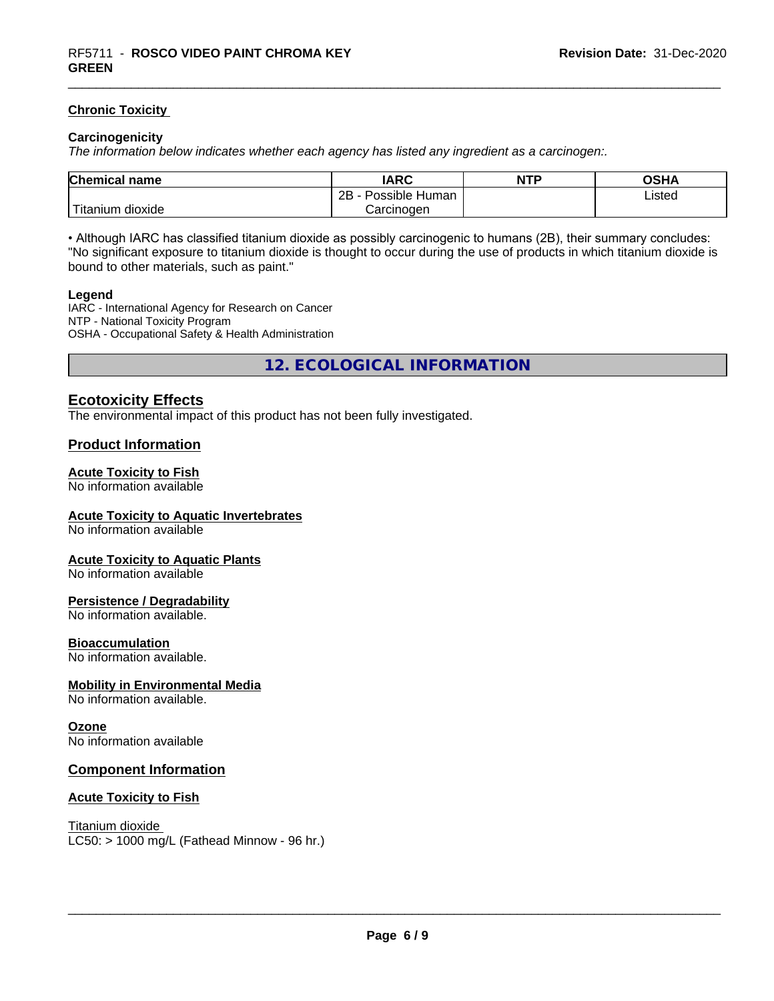#### **Chronic Toxicity**

#### **Carcinogenicity**

*The information below indicateswhether each agency has listed any ingredient as a carcinogen:.*

| Chemical<br>name                                                                                                                               | <b>IARC</b>                  | <b>NTP</b> | <b>OSHA</b> |
|------------------------------------------------------------------------------------------------------------------------------------------------|------------------------------|------------|-------------|
|                                                                                                                                                | .<br>2B<br>Human<br>Possible |            | Listed      |
| <b>The Contract of the Contract of the Contract of the Contract of the Contract of the Contract of the Contract o</b><br>n dioxide<br>Fitanium | Carcinogen                   |            |             |

• Although IARC has classified titanium dioxide as possibly carcinogenic to humans (2B), their summary concludes: "No significant exposure to titanium dioxide is thought to occur during the use of products in which titanium dioxide is bound to other materials, such as paint."

#### **Legend**

IARC - International Agency for Research on Cancer NTP - National Toxicity Program OSHA - Occupational Safety & Health Administration

**12. ECOLOGICAL INFORMATION**

#### **Ecotoxicity Effects**

The environmental impact of this product has not been fully investigated.

#### **Product Information**

#### **Acute Toxicity to Fish**

No information available

#### **Acute Toxicity to Aquatic Invertebrates**

No information available

#### **Acute Toxicity to Aquatic Plants**

No information available

#### **Persistence / Degradability**

No information available.

#### **Bioaccumulation**

No information available.

#### **Mobility in Environmental Media**

No information available.

#### **Ozone**

No information available

#### **Component Information**

#### **Acute Toxicity to Fish**

Titanium dioxide  $LC50:$  > 1000 mg/L (Fathead Minnow - 96 hr.)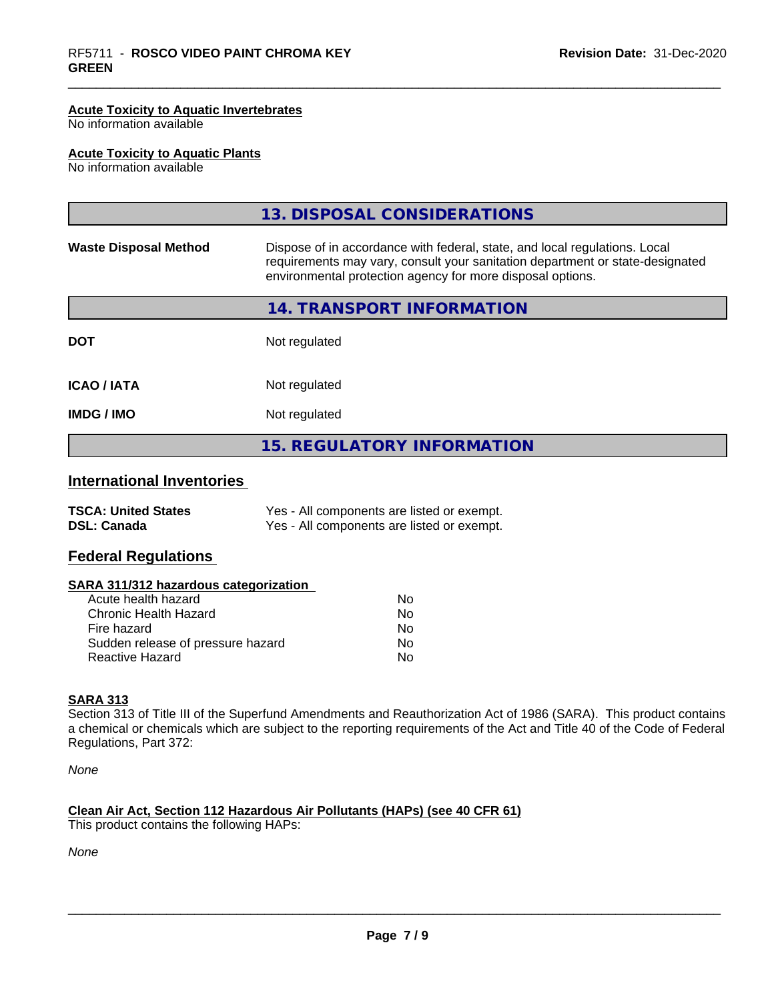#### **Acute Toxicity to Aquatic Invertebrates**

No information available

#### **Acute Toxicity to Aquatic Plants**

No information available

|                              | 13. DISPOSAL CONSIDERATIONS                                                                                                                                                                                               |
|------------------------------|---------------------------------------------------------------------------------------------------------------------------------------------------------------------------------------------------------------------------|
| <b>Waste Disposal Method</b> | Dispose of in accordance with federal, state, and local regulations. Local<br>requirements may vary, consult your sanitation department or state-designated<br>environmental protection agency for more disposal options. |
|                              | 14. TRANSPORT INFORMATION                                                                                                                                                                                                 |
| <b>DOT</b>                   | Not regulated                                                                                                                                                                                                             |
| <b>ICAO/IATA</b>             | Not regulated                                                                                                                                                                                                             |
| <b>IMDG/IMO</b>              | Not regulated                                                                                                                                                                                                             |
|                              | <b>15. REGULATORY INFORMATION</b>                                                                                                                                                                                         |

# **International Inventories**

| <b>TSCA: United States</b> | Yes - All components are listed or exempt. |
|----------------------------|--------------------------------------------|
| <b>DSL: Canada</b>         | Yes - All components are listed or exempt. |

#### **Federal Regulations**

#### **SARA 311/312 hazardous categorization**

| Acute health hazard               | No |  |
|-----------------------------------|----|--|
| Chronic Health Hazard             | N٥ |  |
| Fire hazard                       | Nο |  |
| Sudden release of pressure hazard | Nο |  |
| Reactive Hazard                   | Nο |  |

#### **SARA 313**

Section 313 of Title III of the Superfund Amendments and Reauthorization Act of 1986 (SARA). This product contains a chemical or chemicals which are subject to the reporting requirements of the Act and Title 40 of the Code of Federal Regulations, Part 372:

*None*

#### **Clean Air Act,Section 112 Hazardous Air Pollutants (HAPs) (see 40 CFR 61)**

This product contains the following HAPs:

*None*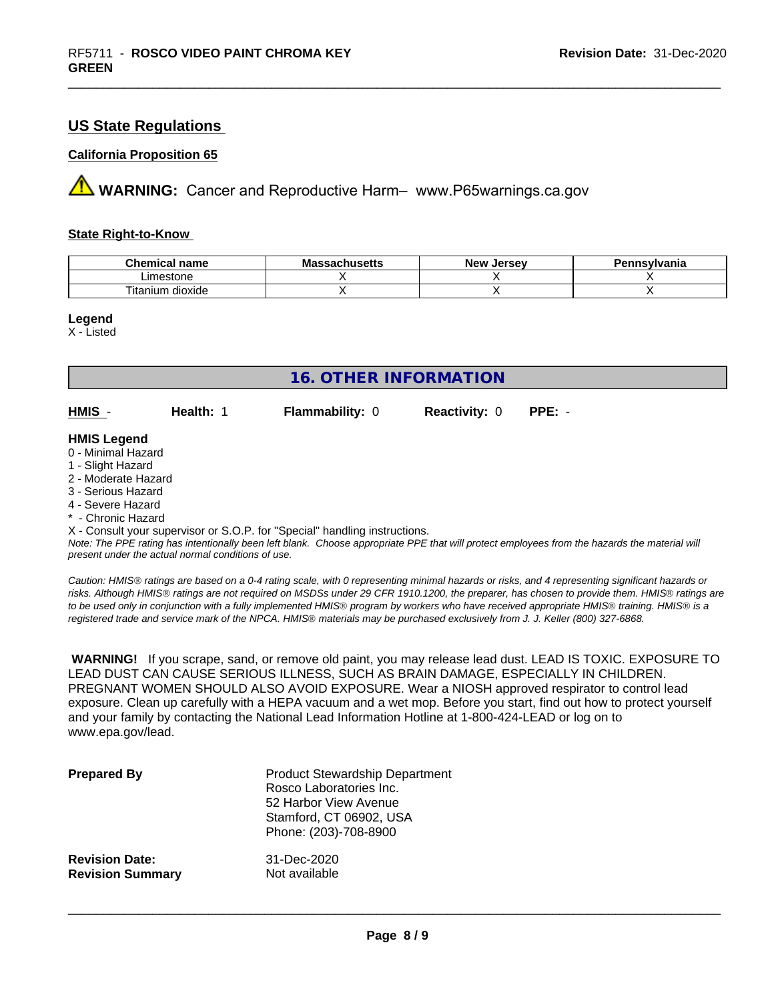## **US State Regulations**

#### **California Proposition 65**

**A** WARNING: Cancer and Reproductive Harm– www.P65warnings.ca.gov

#### **State Right-to-Know**

| Chemic<br>name<br>ешкаг     | - -<br>$-1000$<br>IVIa<br>aunuscus | <b>Jerse</b> v<br><b>Nev</b> | avlvan<br>anıa |
|-----------------------------|------------------------------------|------------------------------|----------------|
| imactone<br>estone          |                                    |                              |                |
| <br>dioxide<br>um<br>itanit |                                    |                              |                |

#### **Legend**

X - Listed

| <b>16. OTHER INFORMATION</b>                                                                                                                                                                                |           |                                                                            |                      |                                                                                                                                               |
|-------------------------------------------------------------------------------------------------------------------------------------------------------------------------------------------------------------|-----------|----------------------------------------------------------------------------|----------------------|-----------------------------------------------------------------------------------------------------------------------------------------------|
| HMIS -                                                                                                                                                                                                      | Health: 1 | <b>Flammability: 0</b>                                                     | <b>Reactivity: 0</b> | $PPE: -$                                                                                                                                      |
| <b>HMIS Legend</b><br>0 - Minimal Hazard<br>1 - Slight Hazard<br>2 - Moderate Hazard<br>3 - Serious Hazard<br>4 - Severe Hazard<br>* - Chronic Hazard<br>present under the actual normal conditions of use. |           | X - Consult your supervisor or S.O.P. for "Special" handling instructions. |                      | Note: The PPE rating has intentionally been left blank. Choose appropriate PPE that will protect employees from the hazards the material will |

*Caution: HMISÒ ratings are based on a 0-4 rating scale, with 0 representing minimal hazards or risks, and 4 representing significant hazards or risks. Although HMISÒ ratings are not required on MSDSs under 29 CFR 1910.1200, the preparer, has chosen to provide them. HMISÒ ratings are to be used only in conjunction with a fully implemented HMISÒ program by workers who have received appropriate HMISÒ training. HMISÒ is a registered trade and service mark of the NPCA. HMISÒ materials may be purchased exclusively from J. J. Keller (800) 327-6868.*

 **WARNING!** If you scrape, sand, or remove old paint, you may release lead dust. LEAD IS TOXIC. EXPOSURE TO LEAD DUST CAN CAUSE SERIOUS ILLNESS, SUCH AS BRAIN DAMAGE, ESPECIALLY IN CHILDREN. PREGNANT WOMEN SHOULD ALSO AVOID EXPOSURE. Wear a NIOSH approved respirator to control lead exposure. Clean up carefully with a HEPA vacuum and a wet mop. Before you start, find out how to protect yourself and your family by contacting the National Lead Information Hotline at 1-800-424-LEAD or log on to www.epa.gov/lead.

| <b>Prepared By</b>      | <b>Product Stewardship Department</b><br>Rosco Laboratories Inc.<br>52 Harbor View Avenue<br>Stamford, CT 06902, USA<br>Phone: (203)-708-8900 |
|-------------------------|-----------------------------------------------------------------------------------------------------------------------------------------------|
| <b>Revision Date:</b>   | 31-Dec-2020                                                                                                                                   |
| <b>Revision Summary</b> | Not available                                                                                                                                 |